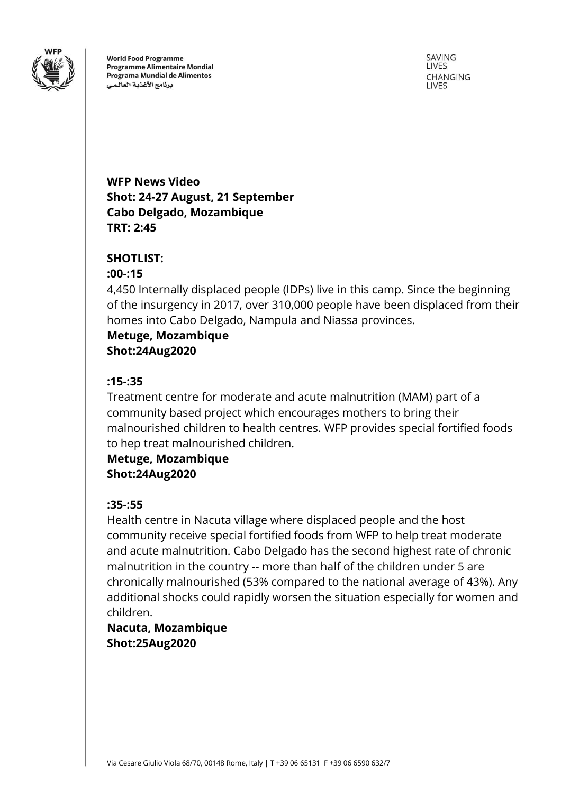

**World Food Programme Programme Alimentaire Mondial** Programa Mundial de Alimentos برنامج الأغذية العالمى

SAVING LIVES CHANGING **LIVES** 

**WFP News Video Shot: 24-27 August, 21 September Cabo Delgado, Mozambique TRT: 2:45**

### **SHOTLIST:**

### **:00-:15**

4,450 Internally displaced people (IDPs) live in this camp. Since the beginning of the insurgency in 2017, over 310,000 people have been displaced from their homes into Cabo Delgado, Nampula and Niassa provinces.

**Metuge, Mozambique Shot:24Aug2020**

### **:15-:35**

Treatment centre for moderate and acute malnutrition (MAM) part of a community based project which encourages mothers to bring their malnourished children to health centres. WFP provides special fortified foods to hep treat malnourished children.

**Metuge, Mozambique Shot:24Aug2020**

### **:35-:55**

Health centre in Nacuta village where displaced people and the host community receive special fortified foods from WFP to help treat moderate and acute malnutrition. Cabo Delgado has the second highest rate of chronic malnutrition in the country -- more than half of the children under 5 are chronically malnourished (53% compared to the national average of 43%). Any additional shocks could rapidly worsen the situation especially for women and children.

# **Nacuta, Mozambique Shot:25Aug2020**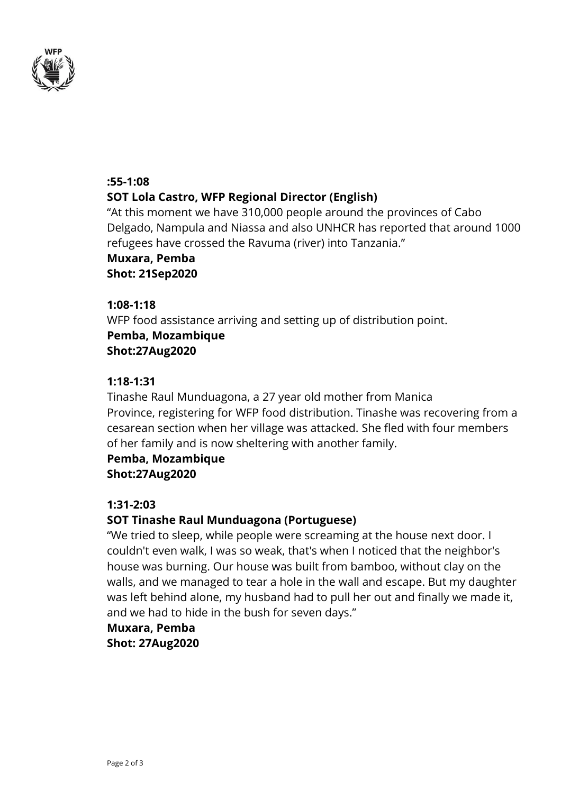

### **:55-1:08**

## **SOT Lola Castro, WFP Regional Director (English)**

"At this moment we have 310,000 people around the provinces of Cabo Delgado, Nampula and Niassa and also UNHCR has reported that around 1000 refugees have crossed the Ravuma (river) into Tanzania."

**Muxara, Pemba Shot: 21Sep2020**

### **1:08-1:18**

WFP food assistance arriving and setting up of distribution point. **Pemba, Mozambique Shot:27Aug2020**

### **1:18-1:31**

Tinashe Raul Munduagona, a 27 year old mother from Manica Province, registering for WFP food distribution. Tinashe was recovering from a cesarean section when her village was attacked. She fled with four members of her family and is now sheltering with another family.

# **Pemba, Mozambique**

**Shot:27Aug2020**

### **1:31-2:03**

## **SOT Tinashe Raul Munduagona (Portuguese)**

"We tried to sleep, while people were screaming at the house next door. I couldn't even walk, I was so weak, that's when I noticed that the neighbor's house was burning. Our house was built from bamboo, without clay on the walls, and we managed to tear a hole in the wall and escape. But my daughter was left behind alone, my husband had to pull her out and finally we made it, and we had to hide in the bush for seven days."

# **Muxara, Pemba Shot: 27Aug2020**